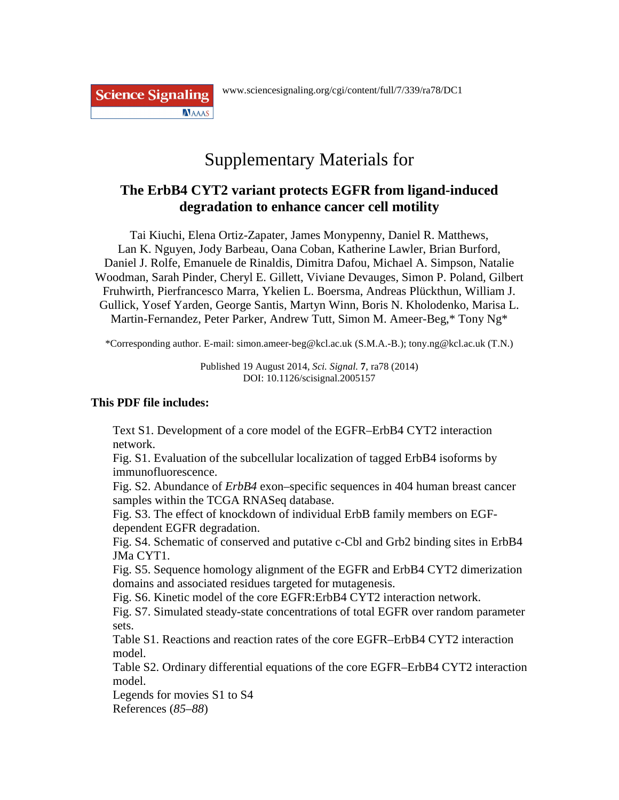**Science Signaling NAAAS** 

# Supplementary Materials for

### **The ErbB4 CYT2 variant protects EGFR from ligand-induced degradation to enhance cancer cell motility**

Tai Kiuchi, Elena Ortiz-Zapater, James Monypenny, Daniel R. Matthews, Lan K. Nguyen, Jody Barbeau, Oana Coban, Katherine Lawler, Brian Burford, Daniel J. Rolfe, Emanuele de Rinaldis, Dimitra Dafou, Michael A. Simpson, Natalie Woodman, Sarah Pinder, Cheryl E. Gillett, Viviane Devauges, Simon P. Poland, Gilbert Fruhwirth, Pierfrancesco Marra, Ykelien L. Boersma, Andreas Plückthun, William J. Gullick, Yosef Yarden, George Santis, Martyn Winn, Boris N. Kholodenko, Marisa L. Martin-Fernandez, Peter Parker, Andrew Tutt, Simon M. Ameer-Beg,\* Tony Ng\*

\*Corresponding author. E-mail: simon.ameer-beg@kcl.ac.uk (S.M.A.-B.); tony.ng@kcl.ac.uk (T.N.)

Published 19 August 2014, *Sci. Signal.* **7**, ra78 (2014) DOI: 10.1126/scisignal.2005157

### **This PDF file includes:**

Text S1. Development of a core model of the EGFR–ErbB4 CYT2 interaction network.

Fig. S1. Evaluation of the subcellular localization of tagged ErbB4 isoforms by immunofluorescence.

Fig. S2. Abundance of *ErbB4* exon–specific sequences in 404 human breast cancer samples within the TCGA RNASeq database.

Fig. S3. The effect of knockdown of individual ErbB family members on EGFdependent EGFR degradation.

Fig. S4. Schematic of conserved and putative c-Cbl and Grb2 binding sites in ErbB4 JMa CYT1.

Fig. S5. Sequence homology alignment of the EGFR and ErbB4 CYT2 dimerization domains and associated residues targeted for mutagenesis.

Fig. S6. Kinetic model of the core EGFR:ErbB4 CYT2 interaction network.

Fig. S7. Simulated steady-state concentrations of total EGFR over random parameter sets.

Table S1. Reactions and reaction rates of the core EGFR–ErbB4 CYT2 interaction model.

Table S2. Ordinary differential equations of the core EGFR–ErbB4 CYT2 interaction model.

Legends for movies S1 to S4

References (*85*–*88*)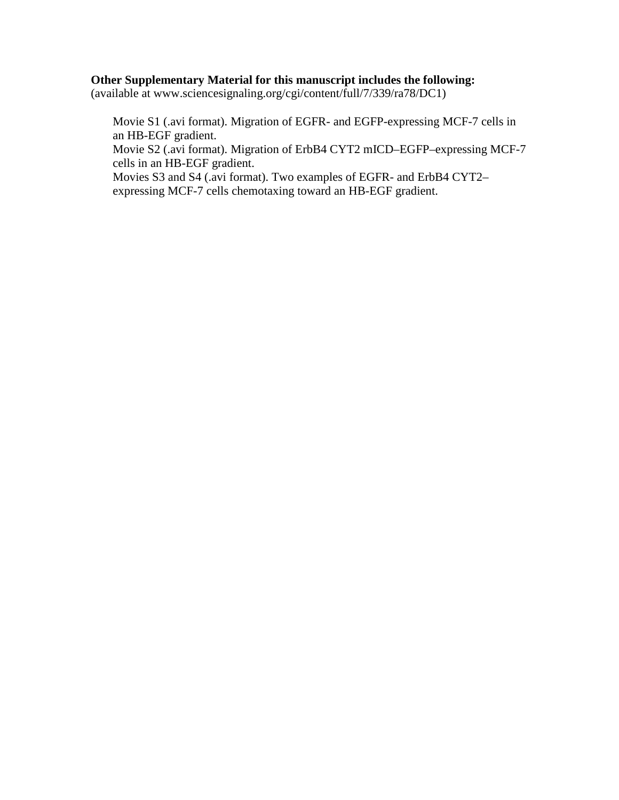### **Other Supplementary Material for this manuscript includes the following:**

(available at www.sciencesignaling.org/cgi/content/full/7/339/ra78/DC1)

Movie S1 (.avi format). Migration of EGFR- and EGFP-expressing MCF-7 cells in an HB-EGF gradient.

Movie S2 (.avi format). Migration of ErbB4 CYT2 mICD–EGFP–expressing MCF-7 cells in an HB-EGF gradient.

Movies S3 and S4 (.avi format). Two examples of EGFR- and ErbB4 CYT2– expressing MCF-7 cells chemotaxing toward an HB-EGF gradient.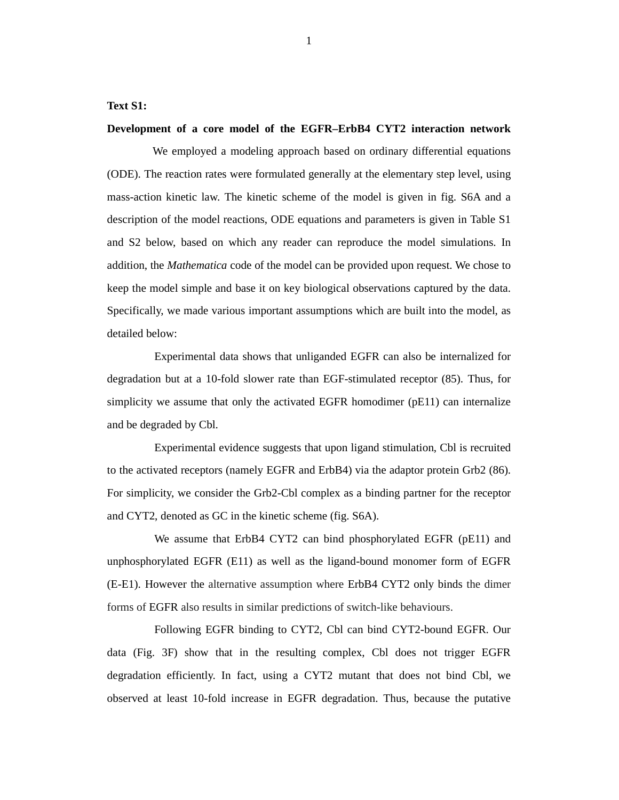#### **Text S1:**

#### **Development of a core model of the EGFR–ErbB4 CYT2 interaction network**

We employed a modeling approach based on ordinary differential equations (ODE). The reaction rates were formulated generally at the elementary step level, using mass-action kinetic law. The kinetic scheme of the model is given in fig. S6A and a description of the model reactions, ODE equations and parameters is given in Table S1 and S2 below, based on which any reader can reproduce the model simulations. In addition, the *Mathematica* code of the model can be provided upon request. We chose to keep the model simple and base it on key biological observations captured by the data. Specifically, we made various important assumptions which are built into the model, as detailed below:

Experimental data shows that unliganded EGFR can also be internalized for degradation but at a 10-fold slower rate than EGF-stimulated receptor (85). Thus, for simplicity we assume that only the activated EGFR homodimer (pE11) can internalize and be degraded by Cbl.

Experimental evidence suggests that upon ligand stimulation, Cbl is recruited to the activated receptors (namely EGFR and ErbB4) via the adaptor protein Grb2 (86). For simplicity, we consider the Grb2-Cbl complex as a binding partner for the receptor and CYT2, denoted as GC in the kinetic scheme (fig. S6A).

We assume that ErbB4 CYT2 can bind phosphorylated EGFR (pE11) and unphosphorylated EGFR (E11) as well as the ligand-bound monomer form of EGFR (E-E1). However the alternative assumption where ErbB4 CYT2 only binds the dimer forms of EGFR also results in similar predictions of switch-like behaviours.

Following EGFR binding to CYT2, Cbl can bind CYT2-bound EGFR. Our data (Fig. 3F) show that in the resulting complex, Cbl does not trigger EGFR degradation efficiently. In fact, using a CYT2 mutant that does not bind Cbl, we observed at least 10-fold increase in EGFR degradation. Thus, because the putative

1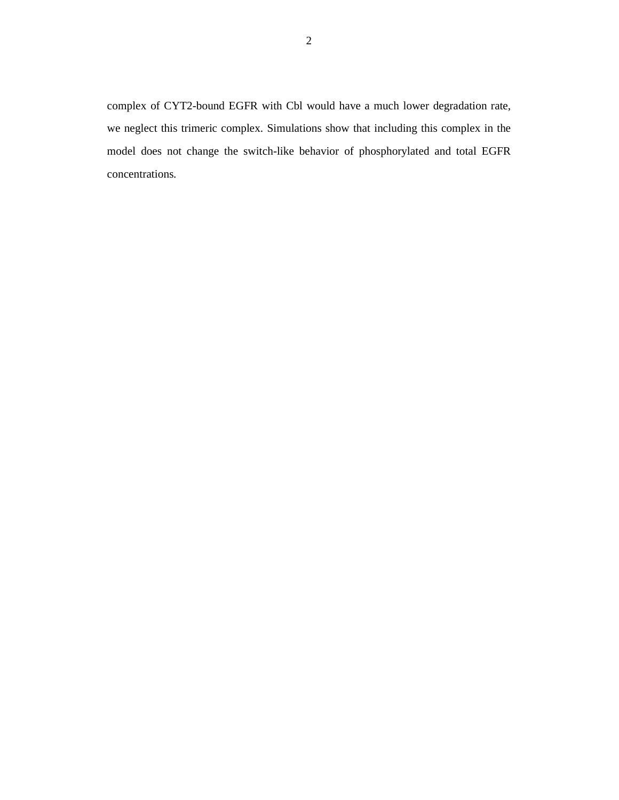complex of CYT2-bound EGFR with Cbl would have a much lower degradation rate, we neglect this trimeric complex. Simulations show that including this complex in the model does not change the switch-like behavior of phosphorylated and total EGFR concentrations.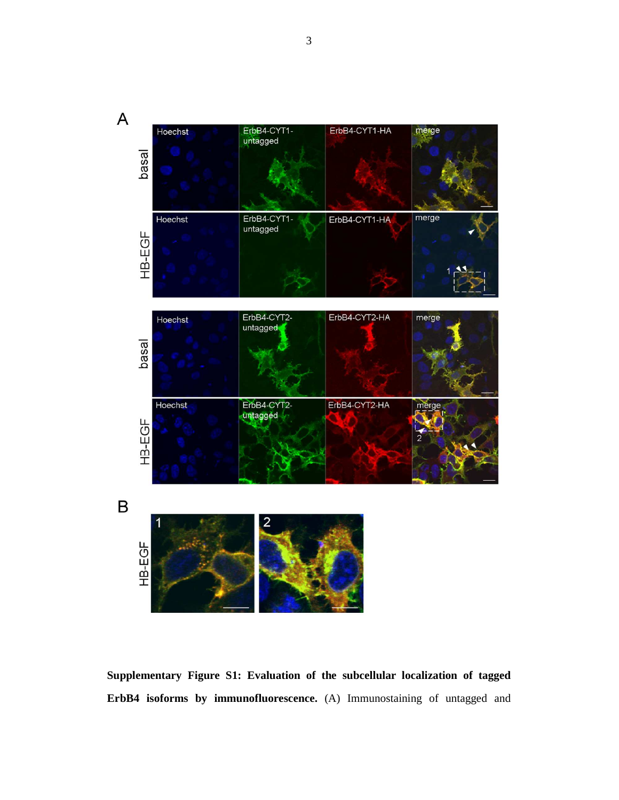

**Supplementary Figure S1: Evaluation of the subcellular localization of tagged ErbB4 isoforms by immunofluorescence.** (A) Immunostaining of untagged and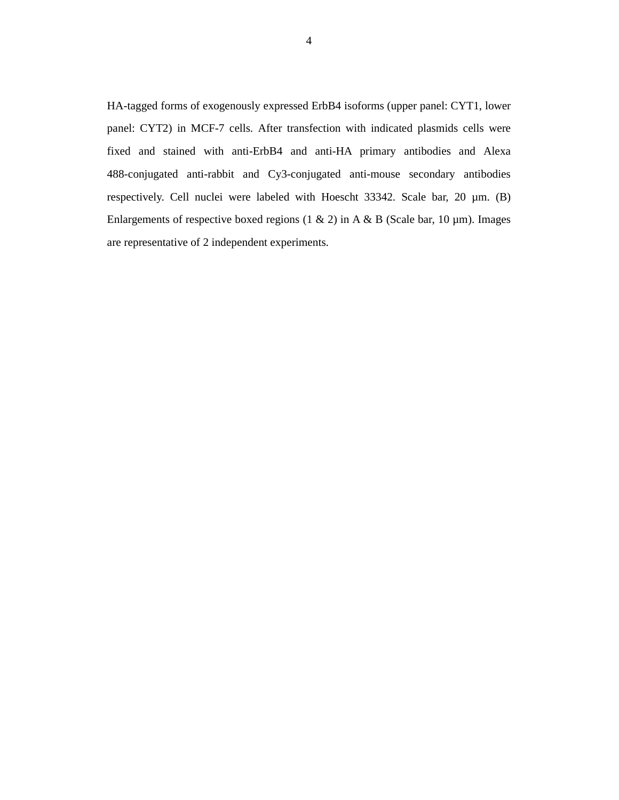HA-tagged forms of exogenously expressed ErbB4 isoforms (upper panel: CYT1, lower panel: CYT2) in MCF-7 cells. After transfection with indicated plasmids cells were fixed and stained with anti-ErbB4 and anti-HA primary antibodies and Alexa 488-conjugated anti-rabbit and Cy3-conjugated anti-mouse secondary antibodies respectively. Cell nuclei were labeled with Hoescht 33342. Scale bar, 20 µm. (B) Enlargements of respective boxed regions (1 & 2) in A & B (Scale bar, 10  $\mu$ m). Images are representative of 2 independent experiments.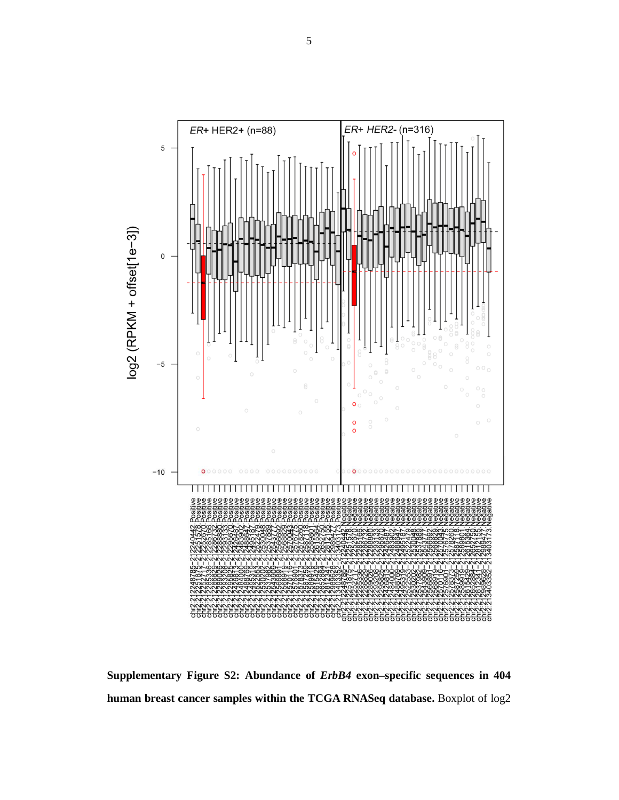

**Supplementary Figure S2: Abundance of** *ErbB4* **exon–specific sequences in 404 human breast cancer samples within the TCGA RNASeq database.** Boxplot of log2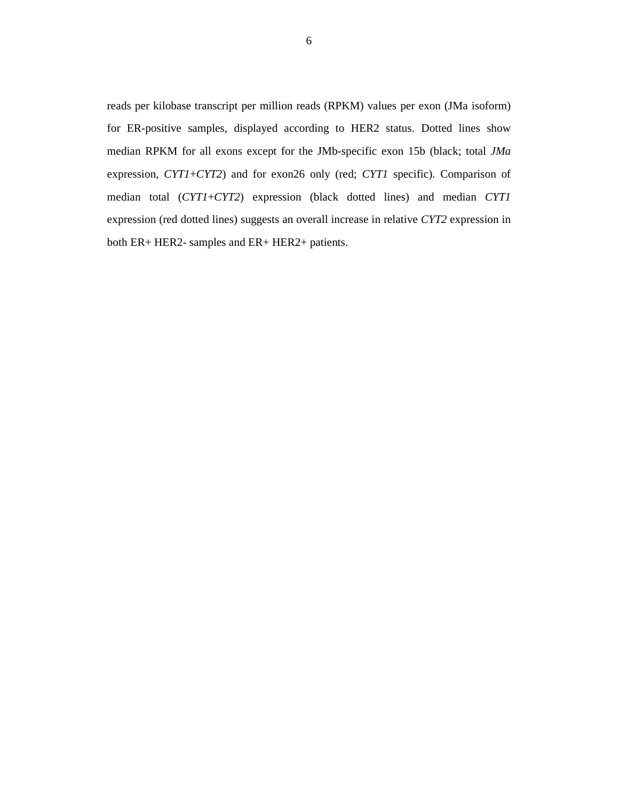reads per kilobase transcript per million reads (RPKM) values per exon (JMa isoform) for ER-positive samples, displayed according to HER2 status. Dotted lines show median RPKM for all exons except for the JMb-specific exon 15b (black; total *JMa* expression, *CYT1*+*CYT2*) and for exon26 only (red; *CYT1* specific). Comparison of median total (*CYT1*+*CYT2*) expression (black dotted lines) and median *CYT1*  expression (red dotted lines) suggests an overall increase in relative *CYT2* expression in both ER+ HER2- samples and ER+ HER2+ patients.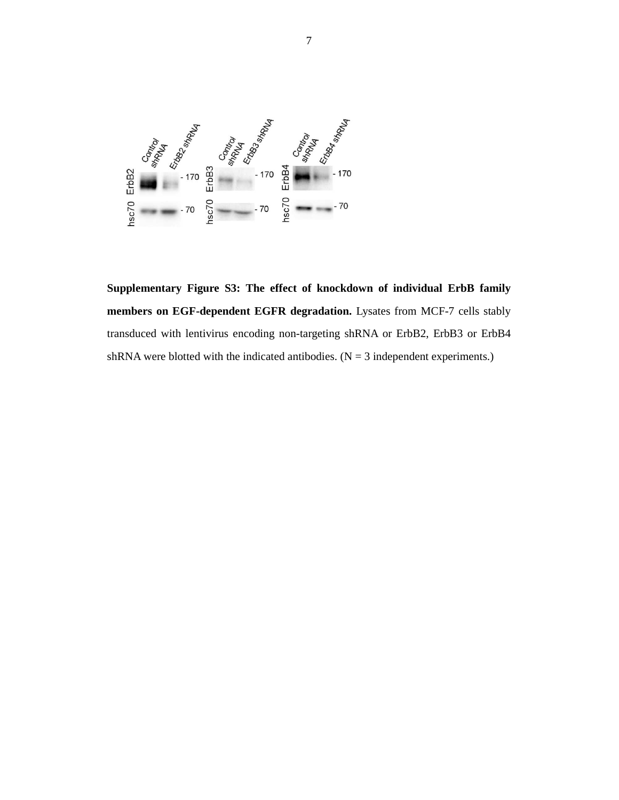

**Supplementary Figure S3: The effect of knockdown of individual ErbB family members on EGF-dependent EGFR degradation.** Lysates from MCF-7 cells stably transduced with lentivirus encoding non-targeting shRNA or ErbB2, ErbB3 or ErbB4 shRNA were blotted with the indicated antibodies.  $(N = 3$  independent experiments.)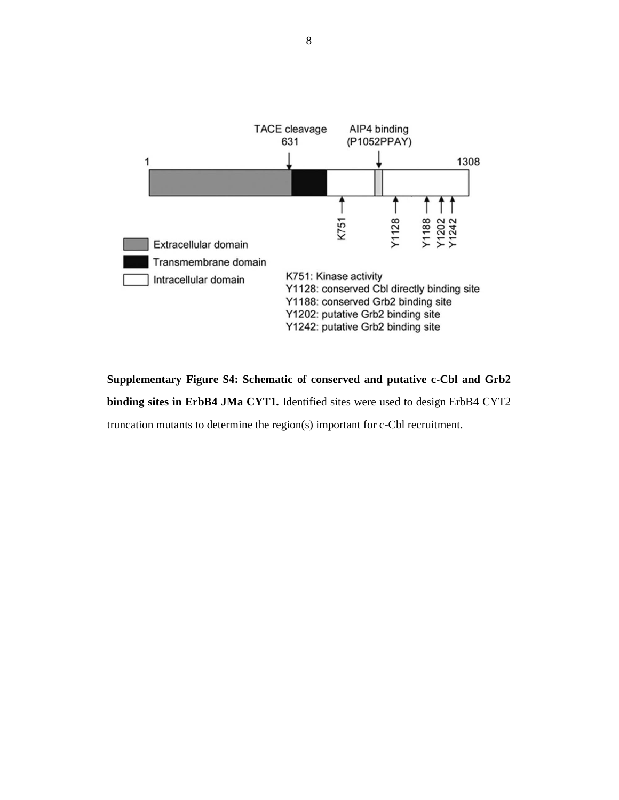

**Supplementary Figure S4: Schematic of conserved and putative c-Cbl and Grb2 binding sites in ErbB4 JMa CYT1.** Identified sites were used to design ErbB4 CYT2 truncation mutants to determine the region(s) important for c-Cbl recruitment.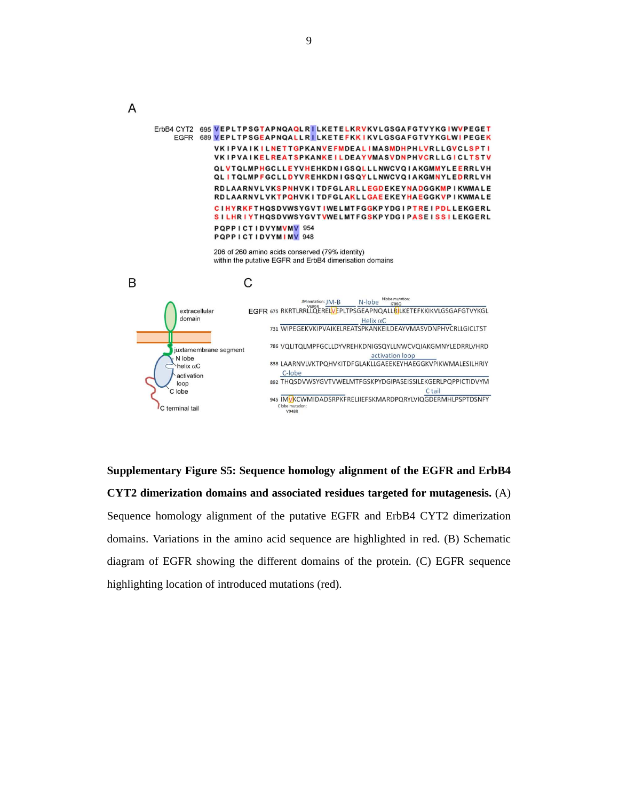ErbB4 CYT2 695 VEPLTPSGTAPNQAQLRILKETELKRVKVLGSGAFGTVYKGIWVPEGET EGFR 689 VEPLTPSGEAPNQALLRILKETEFKKIKVLGSGAFGTVYKGLWIPEGEK VKIPVAIKILNETTGPKANVEFMDEALIMASMDHPHLVRLLGVCLSPTI VKIPVAIKELREATSPKANKEILDEAYVMASVDNPHVCRLLGICLTSTV QLVTQLMPHGCLLEYVHEHKDNIGSQLLLNWCVQIAKGMMYLEERRLVH QLITQLMPFGCLLDYVREHKDNIGSQYLLNWCVQIAKGMNYLEDRRLVH RDLAARNVLVKSPNHVKITDFGLARLLEGDEKEYNADGGKMPIKWMALE RDLAARNVLVKTPQHVKITDFGLAKLLGAEEKEYHAEGGKVPIKWMALE CIHYRKFTHQSDVWSYGVTIWELMTFGGKPYDGIPTREIPDLLEKGERL SILHRIYTHQSDVWSYGVTVWELMTFGSKPYDGIPASEISSILEKGERL PQPPICTIDVYMVMV 954 PQPPICTIDVYMIMV 948 206 of 260 amino acids conserved (79% identity) within the putative EGFR and ErbB4 dimerisation domains B C N-lobe Nobe mutation JM mutation: JM-B EGFR 675 RKRTLRRLLQERELVEPLTPSGEAPNQALLRILLKETEFKKIKVLGSGAFGTVYKGL extracellular domain Helix  $\alpha$ C 731 WIPEGEKVKIPVAIKELREATSPKANKEILDEAYVMASVDNPHVCRLLGICLTST 786 VQLITQLMPFGCLLDYVREHKDNIGSQYLLNWCVQIAKGMNYLEDRRLVHRD juxtamembrane segment activation loop N lobe 838 LAARNVLVKTPQHVKITDFGLAKLLGAEEKEYHAEGGKVPIKWMALESILHRIY helix  $\alpha$ C C-lobe activation 892 THQSDVWSYGVTVWELMTFGSKPYDGIPASEISSILEKGERLPQPPICTIDVYM loop C lobe Ctail 945 IMVKCWMIDADSRPKFRELIIEFSKMARDPQRYLVIQGDERMHLPSPTDSNFY C terminal tail Clobe mutation:<br>V948R

**Supplementary Figure S5: Sequence homology alignment of the EGFR and ErbB4 CYT2 dimerization domains and associated residues targeted for mutagenesis.** (A) Sequence homology alignment of the putative EGFR and ErbB4 CYT2 dimerization domains. Variations in the amino acid sequence are highlighted in red. (B) Schematic diagram of EGFR showing the different domains of the protein. (C) EGFR sequence highlighting location of introduced mutations (red).

A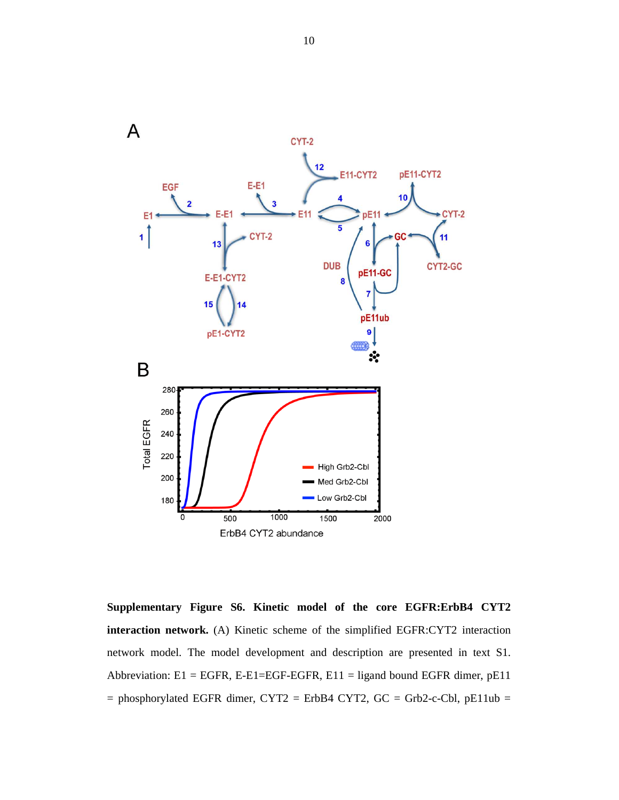

**Supplementary Figure S6. Kinetic model of the core EGFR:ErbB4 CYT2 interaction network.** (A) Kinetic scheme of the simplified EGFR:CYT2 interaction network model. The model development and description are presented in text S1. Abbreviation:  $E1 = EGFR$ ,  $E-EGFF-EGFR$ ,  $E11 =$  ligand bound EGFR dimer,  $pE11$  $=$  phosphorylated EGFR dimer, CYT2 = ErbB4 CYT2, GC = Grb2-c-Cbl, pE11ub =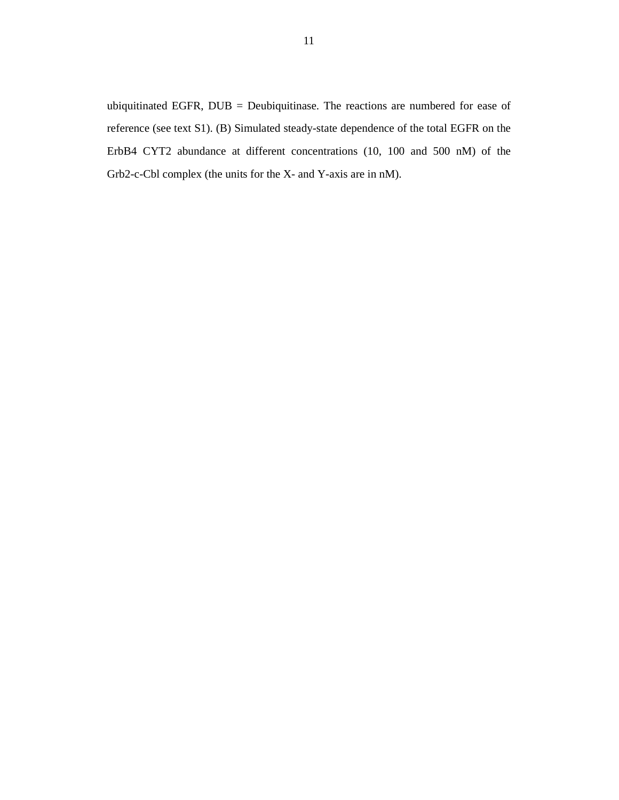ubiquitinated EGFR, DUB = Deubiquitinase. The reactions are numbered for ease of reference (see text S1). (B) Simulated steady-state dependence of the total EGFR on the ErbB4 CYT2 abundance at different concentrations (10, 100 and 500 nM) of the Grb2-c-Cbl complex (the units for the X- and Y-axis are in nM).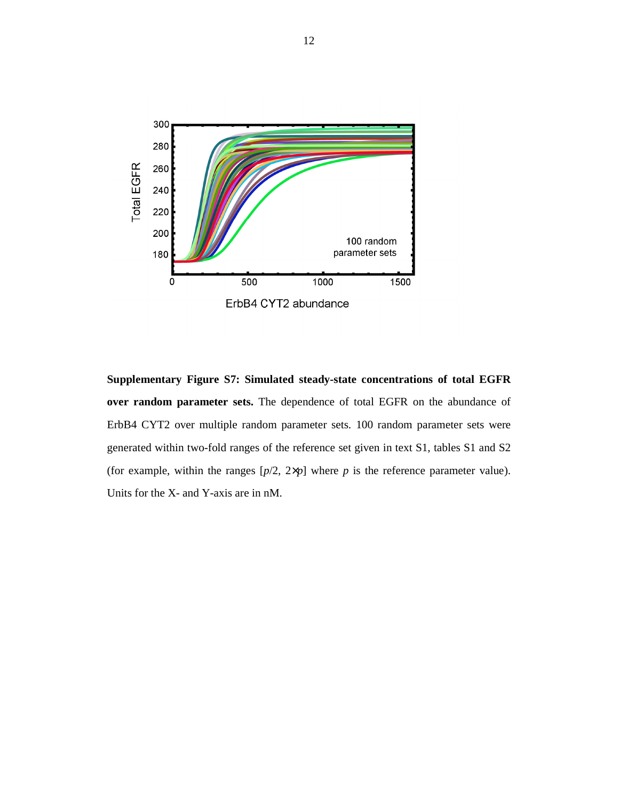

**Supplementary Figure S7: Simulated steady-state concentrations of total EGFR over random parameter sets.** The dependence of total EGFR on the abundance of ErbB4 CYT2 over multiple random parameter sets. 100 random parameter sets were generated within two-fold ranges of the reference set given in text S1, tables S1 and S2 (for example, within the ranges  $[p/2, 2 \times p]$  where *p* is the reference parameter value). Units for the X- and Y-axis are in nM.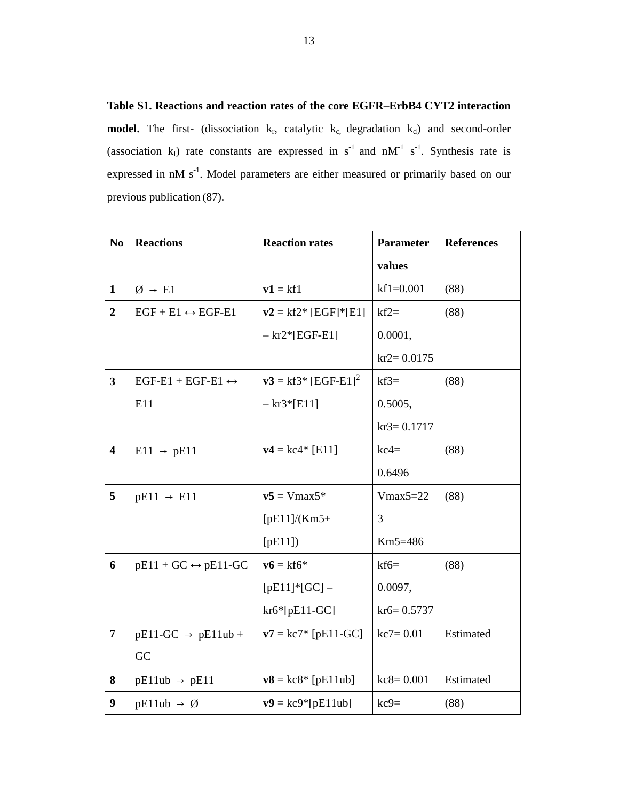**Table S1. Reactions and reaction rates of the core EGFR–ErbB4 CYT2 interaction model.** The first- (dissociation  $k_r$ , catalytic  $k_c$ , degradation  $k_d$ ) and second-order (association  $k_f$ ) rate constants are expressed in  $s^{-1}$  and  $nM^{-1}$  s<sup>-1</sup>. Synthesis rate is expressed in nM s<sup>-1</sup>. Model parameters are either measured or primarily based on our previous publication (87).

| N <sub>0</sub>          | <b>Reactions</b>                    | <b>Reaction rates</b>            | <b>Parameter</b> | <b>References</b> |
|-------------------------|-------------------------------------|----------------------------------|------------------|-------------------|
|                         |                                     |                                  | values           |                   |
| $\mathbf{1}$            | $\emptyset \rightarrow \text{E1}$   | $v1 = kf1$                       | $kf1=0.001$      | (88)              |
| $\overline{2}$          | $EGF + E1 \leftrightarrow EGF-E1$   | $v2 = kf2* [EGF]*[E1]$           | $kf2=$           | (88)              |
|                         |                                     | $-kr2*[EGF-E1]$                  | 0.0001,          |                   |
|                         |                                     |                                  | $kr2 = 0.0175$   |                   |
| $\overline{\mathbf{3}}$ | $EGF-E1 + EGF-E1 \leftrightarrow$   | $v3 = kf3* [EGF-E1]2$            | $kf3=$           | (88)              |
|                         | E11                                 | $-kr3*[E11]$                     | 0.5005,          |                   |
|                         |                                     |                                  | $kr3 = 0.1717$   |                   |
| $\overline{\mathbf{4}}$ | $E11 \rightarrow pE11$              | $v4 = kc4* [E11]$                | $kc4=$           | (88)              |
|                         |                                     |                                  | 0.6496           |                   |
| 5                       | $pE11 \rightarrow E11$              | $v5 = Vmax5*$                    | $Vmax5=22$       | (88)              |
|                         |                                     | $[pE11]/(Km5+$                   | 3                |                   |
|                         |                                     | $[$ pE11])                       | Km5=486          |                   |
| 6                       | $pE11 + GC \leftrightarrow pE11-GC$ | $\mathbf{v6} = \mathrm{kf6}^*$   | $kf6=$           | (88)              |
|                         |                                     | $[pE11]*[GC] -$                  | 0.0097,          |                   |
|                         |                                     | $kr6*[pE11-GC]$                  | $kr6 = 0.5737$   |                   |
| $\overline{7}$          | $pE11-GC \rightarrow pE11ub +$      | $v7 = kc7$ [pE11-GC]             | $kc7 = 0.01$     | Estimated         |
|                         | GC                                  |                                  |                  |                   |
| 8                       | $pE11ub \rightarrow pE11$           | $v8 = kc8$ <sup>*</sup> [pE11ub] | $kc8 = 0.001$    | Estimated         |
| 9                       | $pE11ub \rightarrow \emptyset$      | $v9 = kc9*[pE11ub]$              | $kc9=$           | (88)              |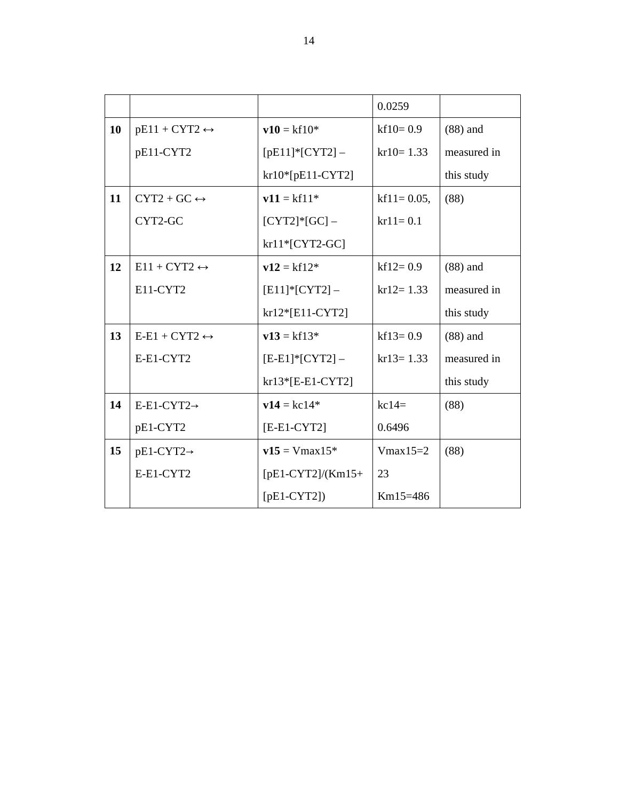|    |                               |                     | 0.0259          |             |
|----|-------------------------------|---------------------|-----------------|-------------|
| 10 | $pE11 + CYT2 \leftrightarrow$ | $v10 = kf10*$       | $kf10=0.9$      | $(88)$ and  |
|    | pE11-CYT2                     | $[pE11]*[CYT2] -$   | $kr10 = 1.33$   | measured in |
|    |                               | $kr10*[pE11-CYT2]$  |                 | this study  |
| 11 | $CYT2+GC \leftrightarrow$     | $v11 = kf11*$       | $kf11 = 0.05$ , | (88)        |
|    | CYT2-GC                       | $[CYT2]*[GC]$ -     | $kr11 = 0.1$    |             |
|    |                               | $kr11*[CYT2-GC]$    |                 |             |
| 12 | $E11 + CYT2 \leftrightarrow$  | $v12 = kf12*$       | $kf12=0.9$      | $(88)$ and  |
|    | E11-CYT2                      | $[E11]*[CYT2] -$    | $kr12 = 1.33$   | measured in |
|    |                               | $kr12*[E11-CYT2]$   |                 | this study  |
| 13 | $E-E1 + CYT2 \leftrightarrow$ | $v13 = kf13*$       | $kf13=0.9$      | $(88)$ and  |
|    | E-E1-CYT2                     | $[E-E1]*[CYT2] -$   | $kr13 = 1.33$   | measured in |
|    |                               | kr13*[E-E1-CYT2]    |                 | this study  |
| 14 | $E-E1-CYT2 \rightarrow$       | $v14 = kc14*$       | $kc14=$         | (88)        |
|    | pE1-CYT2                      | $[E-E1-CYT2]$       | 0.6496          |             |
| 15 | $pE1-CYT2 \rightarrow$        | $v15 = Vmax15*$     | $V$ max $15=2$  | (88)        |
|    | E-E1-CYT2                     | $[pE1-CYT2]/(Km15+$ | 23              |             |
|    |                               | $[pE1-CYT2]$        | $Km15=486$      |             |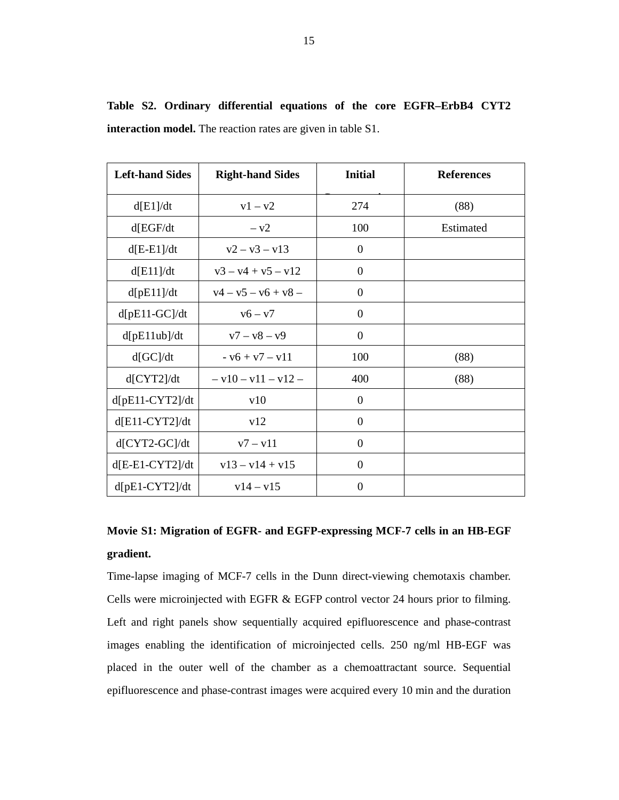| <b>Left-hand Sides</b> | <b>Right-hand Sides</b> | <b>Initial</b>   | <b>References</b> |
|------------------------|-------------------------|------------------|-------------------|
| d[E1]/dt               | $v1 - v2$               | 274              | (88)              |
| d[EGF/dt]              | $- v2$                  | 100              | Estimated         |
| $d[E-E1]/dt$           | $v^2 - v^3 - v^13$      | $\theta$         |                   |
| d[E11]/dt              | $v3 - v4 + v5 - v12$    | $\overline{0}$   |                   |
| d[pE11]/dt             | $v4 - v5 - v6 + v8 -$   | $\mathbf{0}$     |                   |
| $d[pE11-GC]/dt$        | $v6 - v7$               | $\boldsymbol{0}$ |                   |
| d[pE11ub]/dt           | $v7 - v8 - v9$          | $\theta$         |                   |
| d[GC]/dt               | $- v6 + v7 - v11$       | 100              | (88)              |
| d[CYT2]/dt             | $- v10 - v11 - v12 -$   | 400              | (88)              |
| $d[$ pE11-CYT2]/dt     | v10                     | $\boldsymbol{0}$ |                   |
| $d[El1-CYT2]/dt$       | v12                     | $\boldsymbol{0}$ |                   |
| $d[CYT2-GC]/dt$        | $v7 - v11$              | $\boldsymbol{0}$ |                   |
| $d[E-E1-CYT2]/dt$      | $v13 - v14 + v15$       | $\theta$         |                   |
| $d[{\rm pE1-CYT2}]/dt$ | $v14 - v15$             | $\overline{0}$   |                   |

**Table S2. Ordinary differential equations of the core EGFR–ErbB4 CYT2 interaction model.** The reaction rates are given in table S1.

# **Movie S1: Migration of EGFR- and EGFP-expressing MCF-7 cells in an HB-EGF gradient.**

Time-lapse imaging of MCF-7 cells in the Dunn direct-viewing chemotaxis chamber. Cells were microinjected with EGFR & EGFP control vector 24 hours prior to filming. Left and right panels show sequentially acquired epifluorescence and phase-contrast images enabling the identification of microinjected cells. 250 ng/ml HB-EGF was placed in the outer well of the chamber as a chemoattractant source. Sequential epifluorescence and phase-contrast images were acquired every 10 min and the duration